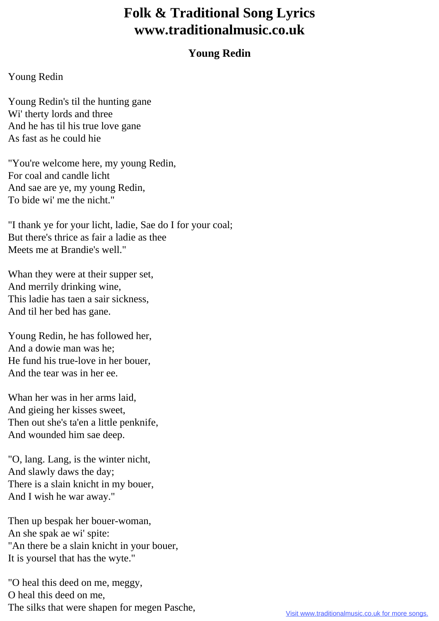## **Folk & Traditional Song Lyrics www.traditionalmusic.co.uk**

## **Young Redin**

## Young Redin

Young Redin's til the hunting gane Wi' therty lords and three And he has til his true love gane As fast as he could hie

"You're welcome here, my young Redin, For coal and candle licht And sae are ye, my young Redin, To bide wi' me the nicht."

"I thank ye for your licht, ladie, Sae do I for your coal; But there's thrice as fair a ladie as thee Meets me at Brandie's well."

Whan they were at their supper set, And merrily drinking wine, This ladie has taen a sair sickness, And til her bed has gane.

Young Redin, he has followed her, And a dowie man was he; He fund his true-love in her bouer, And the tear was in her ee.

Whan her was in her arms laid, And gieing her kisses sweet, Then out she's ta'en a little penknife, And wounded him sae deep.

"O, lang. Lang, is the winter nicht, And slawly daws the day; There is a slain knicht in my bouer, And I wish he war away."

Then up bespak her bouer-woman, An she spak ae wi' spite: "An there be a slain knicht in your bouer, It is yoursel that has the wyte."

"O heal this deed on me, meggy, O heal this deed on me, The silks that were shapen for megen Pasche,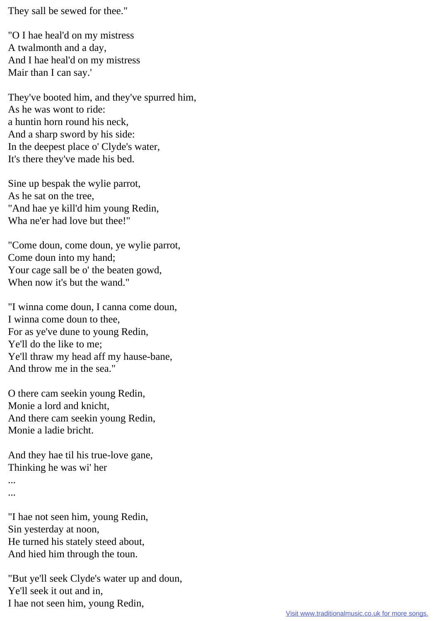They sall be sewed for thee."

"O I hae heal'd on my mistress A twalmonth and a day, And I hae heal'd on my mistress Mair than I can say.'

They've booted him, and they've spurred him, As he was wont to ride: a huntin horn round his neck, And a sharp sword by his side: In the deepest place o' Clyde's water, It's there they've made his bed.

Sine up bespak the wylie parrot, As he sat on the tree, "And hae ye kill'd him young Redin, Wha ne'er had love but thee!"

"Come doun, come doun, ye wylie parrot, Come doun into my hand; Your cage sall be o' the beaten gowd, When now it's but the wand."

"I winna come doun, I canna come doun, I winna come doun to thee, For as ye've dune to young Redin, Ye'll do the like to me; Ye'll thraw my head aff my hause-bane, And throw me in the sea."

O there cam seekin young Redin, Monie a lord and knicht, And there cam seekin young Redin, Monie a ladie bricht.

And they hae til his true-love gane, Thinking he was wi' her

...

...

"I hae not seen him, young Redin, Sin yesterday at noon, He turned his stately steed about, And hied him through the toun.

"But ye'll seek Clyde's water up and doun, Ye'll seek it out and in, I hae not seen him, young Redin,